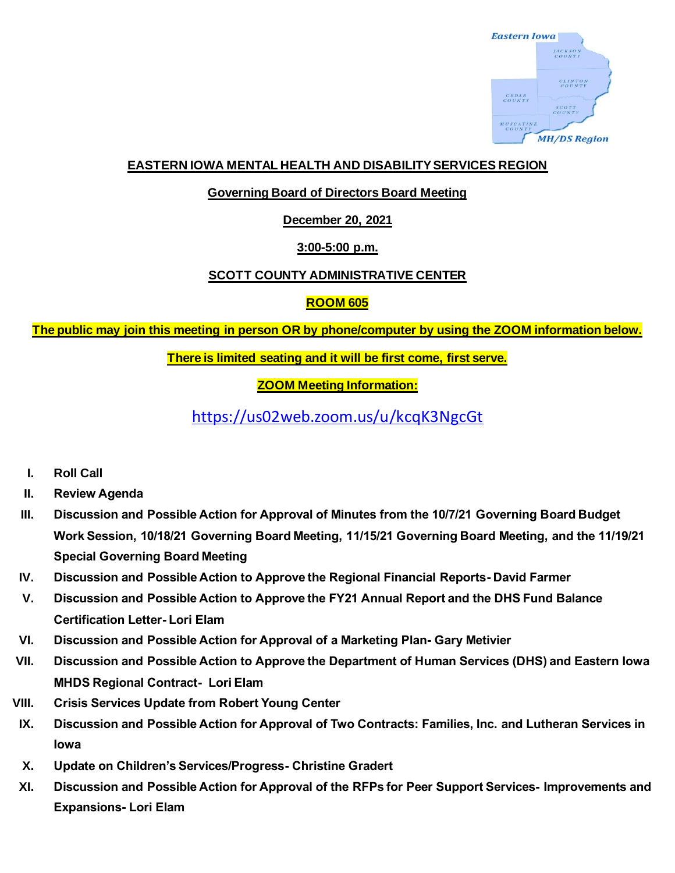

### **EASTERN IOWA MENTAL HEALTH AND DISABILITY SERVICES REGION**

### **Governing Board of Directors Board Meeting**

**December 20, 2021**

# **3:00-5:00 p.m.**

# **SCOTT COUNTY ADMINISTRATIVE CENTER**

# **ROOM 605**

**The public may join this meeting in person OR by phone/computer by using the ZOOM information below.**

**There is limited seating and it will be first come, first serve.**

**ZOOM Meeting Information:**

<https://us02web.zoom.us/u/kcqK3NgcGt>

- **I. Roll Call**
- **II. Review Agenda**
- **III. Discussion and Possible Action for Approval of Minutes from the 10/7/21 Governing Board Budget Work Session, 10/18/21 Governing Board Meeting, 11/15/21 Governing Board Meeting, and the 11/19/21 Special Governing Board Meeting**
- **IV. Discussion and Possible Action to Approve the Regional Financial Reports- David Farmer**
- **V. Discussion and Possible Action to Approve the FY21 Annual Report and the DHS Fund Balance Certification Letter- Lori Elam**
- **VI. Discussion and Possible Action for Approval of a Marketing Plan- Gary Metivier**
- **VII. Discussion and Possible Action to Approve the Department of Human Services (DHS) and Eastern Iowa MHDS Regional Contract- Lori Elam**
- **VIII. Crisis Services Update from Robert Young Center**
- **IX. Discussion and Possible Action for Approval of Two Contracts: Families, Inc. and Lutheran Services in Iowa**
- **X. Update on Children's Services/Progress- Christine Gradert**
- **XI. Discussion and Possible Action for Approval of the RFPs for Peer Support Services- Improvements and Expansions- Lori Elam**